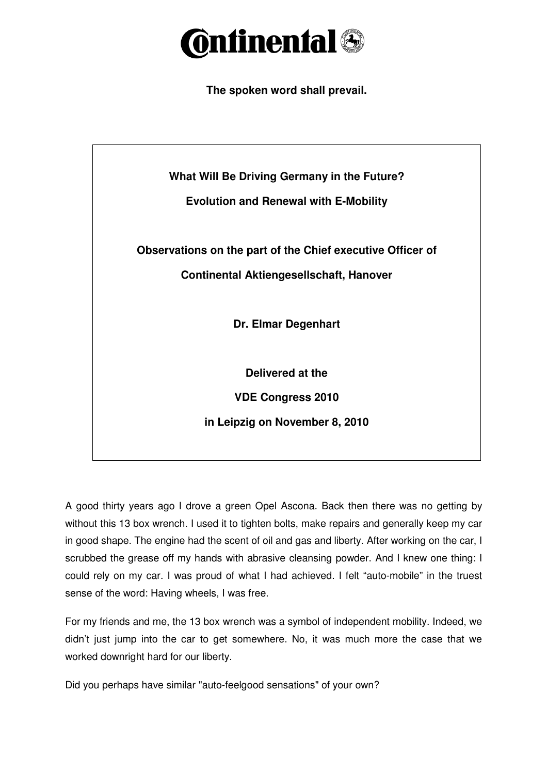

**The spoken word shall prevail.** 



A good thirty years ago I drove a green Opel Ascona. Back then there was no getting by without this 13 box wrench. I used it to tighten bolts, make repairs and generally keep my car in good shape. The engine had the scent of oil and gas and liberty. After working on the car, I scrubbed the grease off my hands with abrasive cleansing powder. And I knew one thing: I could rely on my car. I was proud of what I had achieved. I felt "auto-mobile" in the truest sense of the word: Having wheels, I was free.

For my friends and me, the 13 box wrench was a symbol of independent mobility. Indeed, we didn't just jump into the car to get somewhere. No, it was much more the case that we worked downright hard for our liberty.

Did you perhaps have similar "auto-feelgood sensations" of your own?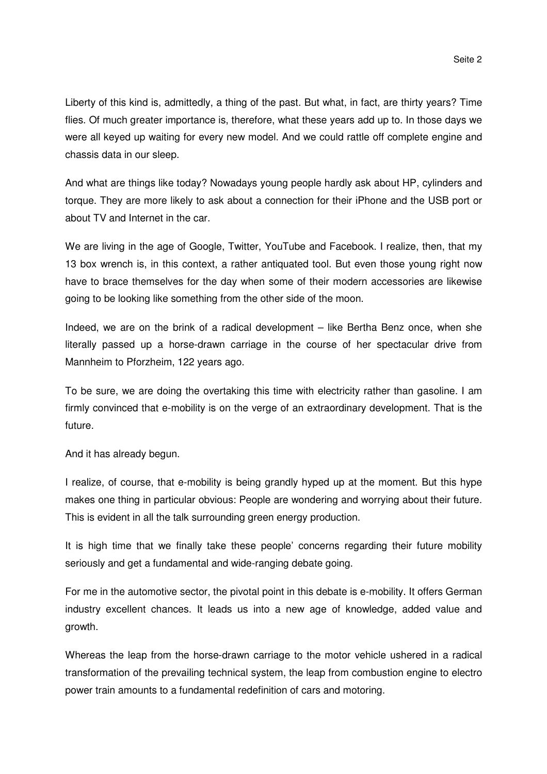Liberty of this kind is, admittedly, a thing of the past. But what, in fact, are thirty years? Time flies. Of much greater importance is, therefore, what these years add up to. In those days we were all keyed up waiting for every new model. And we could rattle off complete engine and chassis data in our sleep.

And what are things like today? Nowadays young people hardly ask about HP, cylinders and torque. They are more likely to ask about a connection for their iPhone and the USB port or about TV and Internet in the car.

We are living in the age of Google, Twitter, YouTube and Facebook. I realize, then, that my 13 box wrench is, in this context, a rather antiquated tool. But even those young right now have to brace themselves for the day when some of their modern accessories are likewise going to be looking like something from the other side of the moon.

Indeed, we are on the brink of a radical development – like Bertha Benz once, when she literally passed up a horse-drawn carriage in the course of her spectacular drive from Mannheim to Pforzheim, 122 years ago.

To be sure, we are doing the overtaking this time with electricity rather than gasoline. I am firmly convinced that e-mobility is on the verge of an extraordinary development. That is the future.

And it has already begun.

I realize, of course, that e-mobility is being grandly hyped up at the moment. But this hype makes one thing in particular obvious: People are wondering and worrying about their future. This is evident in all the talk surrounding green energy production.

It is high time that we finally take these people' concerns regarding their future mobility seriously and get a fundamental and wide-ranging debate going.

For me in the automotive sector, the pivotal point in this debate is e-mobility. It offers German industry excellent chances. It leads us into a new age of knowledge, added value and growth.

Whereas the leap from the horse-drawn carriage to the motor vehicle ushered in a radical transformation of the prevailing technical system, the leap from combustion engine to electro power train amounts to a fundamental redefinition of cars and motoring.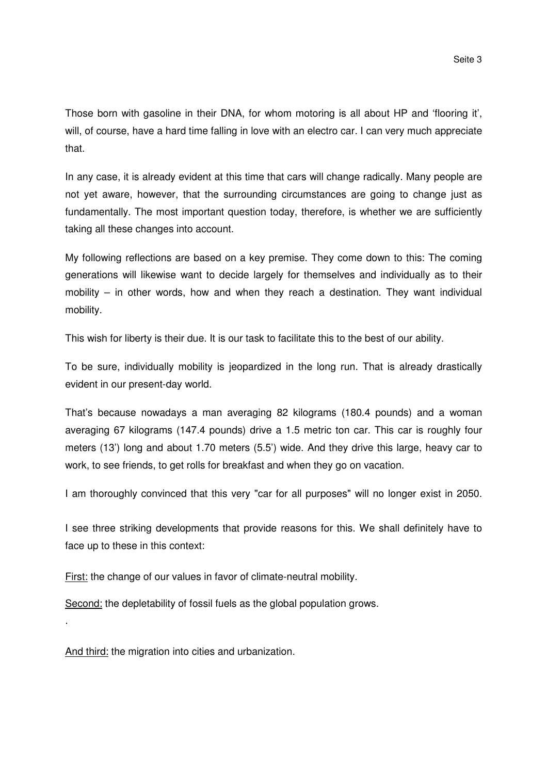Those born with gasoline in their DNA, for whom motoring is all about HP and 'flooring it', will, of course, have a hard time falling in love with an electro car. I can very much appreciate that.

In any case, it is already evident at this time that cars will change radically. Many people are not yet aware, however, that the surrounding circumstances are going to change just as fundamentally. The most important question today, therefore, is whether we are sufficiently taking all these changes into account.

My following reflections are based on a key premise. They come down to this: The coming generations will likewise want to decide largely for themselves and individually as to their mobility – in other words, how and when they reach a destination. They want individual mobility.

This wish for liberty is their due. It is our task to facilitate this to the best of our ability.

To be sure, individually mobility is jeopardized in the long run. That is already drastically evident in our present-day world.

That's because nowadays a man averaging 82 kilograms (180.4 pounds) and a woman averaging 67 kilograms (147.4 pounds) drive a 1.5 metric ton car. This car is roughly four meters (13') long and about 1.70 meters (5.5') wide. And they drive this large, heavy car to work, to see friends, to get rolls for breakfast and when they go on vacation.

I am thoroughly convinced that this very "car for all purposes" will no longer exist in 2050.

I see three striking developments that provide reasons for this. We shall definitely have to face up to these in this context:

First: the change of our values in favor of climate-neutral mobility.

Second: the depletability of fossil fuels as the global population grows.

And third: the migration into cities and urbanization.

.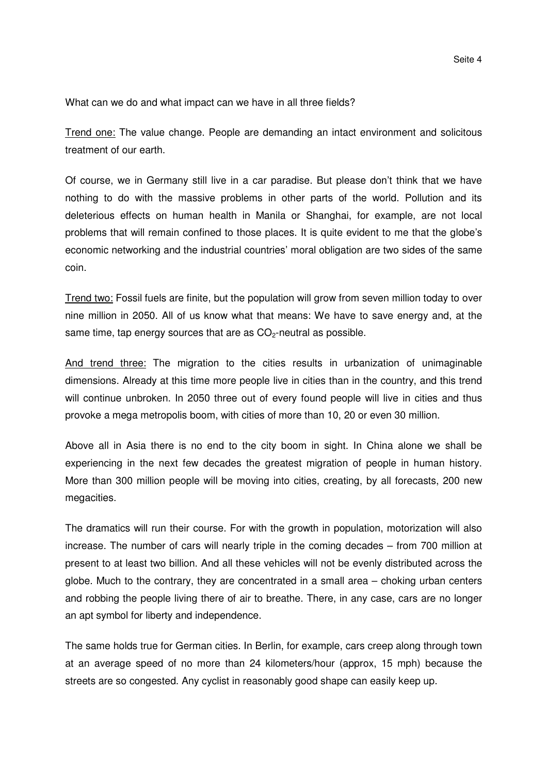What can we do and what impact can we have in all three fields?

Trend one: The value change. People are demanding an intact environment and solicitous treatment of our earth.

Of course, we in Germany still live in a car paradise. But please don't think that we have nothing to do with the massive problems in other parts of the world. Pollution and its deleterious effects on human health in Manila or Shanghai, for example, are not local problems that will remain confined to those places. It is quite evident to me that the globe's economic networking and the industrial countries' moral obligation are two sides of the same coin.

Trend two: Fossil fuels are finite, but the population will grow from seven million today to over nine million in 2050. All of us know what that means: We have to save energy and, at the same time, tap energy sources that are as  $CO<sub>2</sub>$ -neutral as possible.

And trend three: The migration to the cities results in urbanization of unimaginable dimensions. Already at this time more people live in cities than in the country, and this trend will continue unbroken. In 2050 three out of every found people will live in cities and thus provoke a mega metropolis boom, with cities of more than 10, 20 or even 30 million.

Above all in Asia there is no end to the city boom in sight. In China alone we shall be experiencing in the next few decades the greatest migration of people in human history. More than 300 million people will be moving into cities, creating, by all forecasts, 200 new megacities.

The dramatics will run their course. For with the growth in population, motorization will also increase. The number of cars will nearly triple in the coming decades – from 700 million at present to at least two billion. And all these vehicles will not be evenly distributed across the globe. Much to the contrary, they are concentrated in a small area – choking urban centers and robbing the people living there of air to breathe. There, in any case, cars are no longer an apt symbol for liberty and independence.

The same holds true for German cities. In Berlin, for example, cars creep along through town at an average speed of no more than 24 kilometers/hour (approx, 15 mph) because the streets are so congested. Any cyclist in reasonably good shape can easily keep up.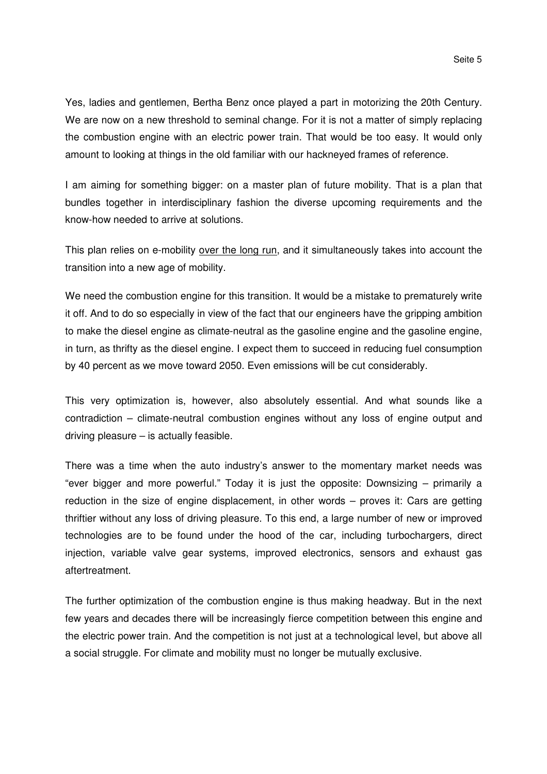Yes, ladies and gentlemen, Bertha Benz once played a part in motorizing the 20th Century. We are now on a new threshold to seminal change. For it is not a matter of simply replacing the combustion engine with an electric power train. That would be too easy. It would only amount to looking at things in the old familiar with our hackneyed frames of reference.

I am aiming for something bigger: on a master plan of future mobility. That is a plan that bundles together in interdisciplinary fashion the diverse upcoming requirements and the know-how needed to arrive at solutions.

This plan relies on e-mobility over the long run, and it simultaneously takes into account the transition into a new age of mobility.

We need the combustion engine for this transition. It would be a mistake to prematurely write it off. And to do so especially in view of the fact that our engineers have the gripping ambition to make the diesel engine as climate-neutral as the gasoline engine and the gasoline engine, in turn, as thrifty as the diesel engine. I expect them to succeed in reducing fuel consumption by 40 percent as we move toward 2050. Even emissions will be cut considerably.

This very optimization is, however, also absolutely essential. And what sounds like a contradiction – climate-neutral combustion engines without any loss of engine output and driving pleasure – is actually feasible.

There was a time when the auto industry's answer to the momentary market needs was "ever bigger and more powerful." Today it is just the opposite: Downsizing – primarily a reduction in the size of engine displacement, in other words – proves it: Cars are getting thriftier without any loss of driving pleasure. To this end, a large number of new or improved technologies are to be found under the hood of the car, including turbochargers, direct injection, variable valve gear systems, improved electronics, sensors and exhaust gas aftertreatment.

The further optimization of the combustion engine is thus making headway. But in the next few years and decades there will be increasingly fierce competition between this engine and the electric power train. And the competition is not just at a technological level, but above all a social struggle. For climate and mobility must no longer be mutually exclusive.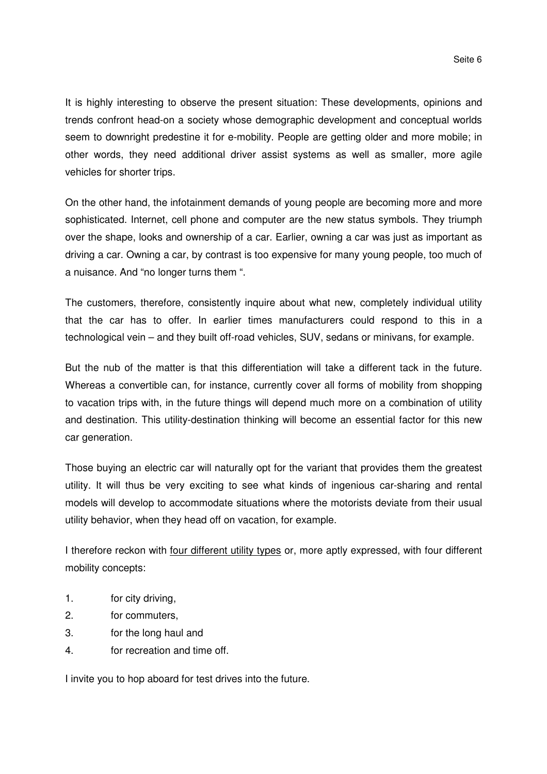It is highly interesting to observe the present situation: These developments, opinions and trends confront head-on a society whose demographic development and conceptual worlds seem to downright predestine it for e-mobility. People are getting older and more mobile; in other words, they need additional driver assist systems as well as smaller, more agile vehicles for shorter trips.

On the other hand, the infotainment demands of young people are becoming more and more sophisticated. Internet, cell phone and computer are the new status symbols. They triumph over the shape, looks and ownership of a car. Earlier, owning a car was just as important as driving a car. Owning a car, by contrast is too expensive for many young people, too much of a nuisance. And "no longer turns them ".

The customers, therefore, consistently inquire about what new, completely individual utility that the car has to offer. In earlier times manufacturers could respond to this in a technological vein – and they built off-road vehicles, SUV, sedans or minivans, for example.

But the nub of the matter is that this differentiation will take a different tack in the future. Whereas a convertible can, for instance, currently cover all forms of mobility from shopping to vacation trips with, in the future things will depend much more on a combination of utility and destination. This utility-destination thinking will become an essential factor for this new car generation.

Those buying an electric car will naturally opt for the variant that provides them the greatest utility. It will thus be very exciting to see what kinds of ingenious car-sharing and rental models will develop to accommodate situations where the motorists deviate from their usual utility behavior, when they head off on vacation, for example.

I therefore reckon with four different utility types or, more aptly expressed, with four different mobility concepts:

- 1. for city driving,
- 2. for commuters,
- 3. for the long haul and
- 4. for recreation and time off.

I invite you to hop aboard for test drives into the future.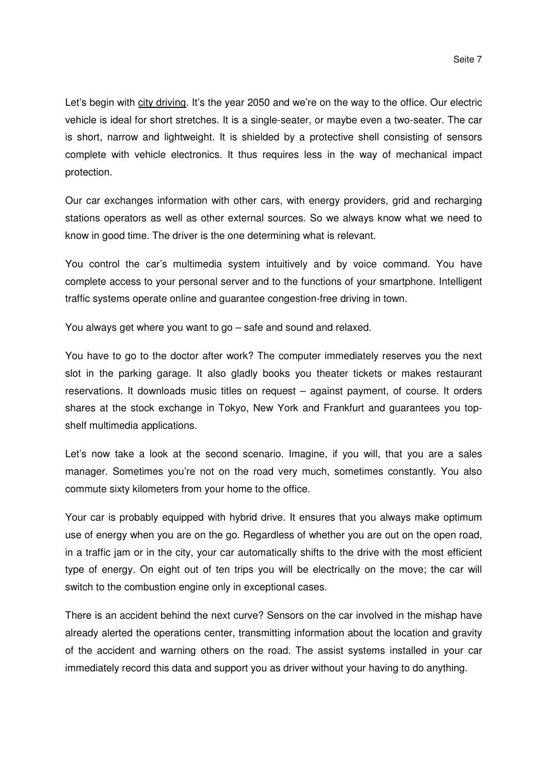Let's begin with city driving. It's the year 2050 and we're on the way to the office. Our electric vehicle is ideal for short stretches. It is a single-seater, or maybe even a two-seater. The car is short, narrow and lightweight. It is shielded by a protective shell consisting of sensors complete with vehicle electronics. It thus requires less in the way of mechanical impact protection.

Our car exchanges information with other cars, with energy providers, grid and recharging stations operators as well as other external sources. So we always know what we need to know in good time. The driver is the one determining what is relevant.

You control the car's multimedia system intuitively and by voice command. You have complete access to your personal server and to the functions of your smartphone. Intelligent traffic systems operate online and guarantee congestion-free driving in town.

You always get where you want to go – safe and sound and relaxed.

You have to go to the doctor after work? The computer immediately reserves you the next slot in the parking garage. It also gladly books you theater tickets or makes restaurant reservations. It downloads music titles on request – against payment, of course. It orders shares at the stock exchange in Tokyo, New York and Frankfurt and guarantees you topshelf multimedia applications.

Let's now take a look at the second scenario. Imagine, if you will, that you are a sales manager. Sometimes you're not on the road very much, sometimes constantly. You also commute sixty kilometers from your home to the office.

Your car is probably equipped with hybrid drive. It ensures that you always make optimum use of energy when you are on the go. Regardless of whether you are out on the open road, in a traffic jam or in the city, your car automatically shifts to the drive with the most efficient type of energy. On eight out of ten trips you will be electrically on the move; the car will switch to the combustion engine only in exceptional cases.

There is an accident behind the next curve? Sensors on the car involved in the mishap have already alerted the operations center, transmitting information about the location and gravity of the accident and warning others on the road. The assist systems installed in your car immediately record this data and support you as driver without your having to do anything.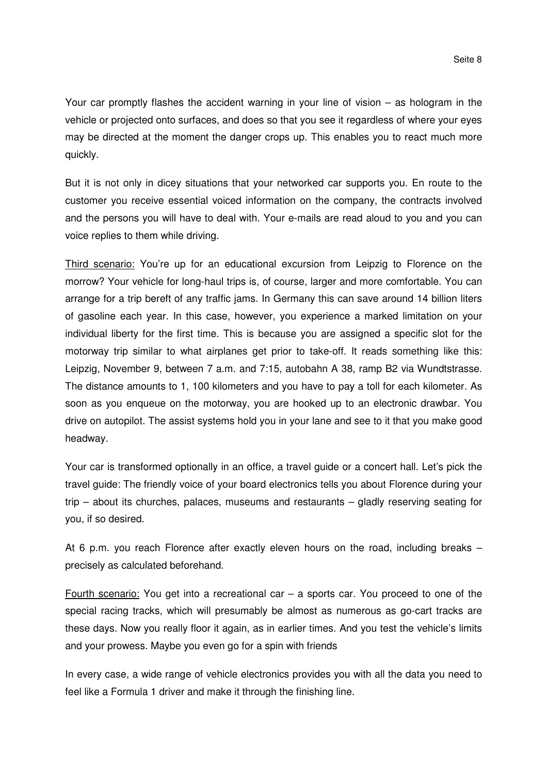Your car promptly flashes the accident warning in your line of vision – as hologram in the vehicle or projected onto surfaces, and does so that you see it regardless of where your eyes may be directed at the moment the danger crops up. This enables you to react much more quickly.

But it is not only in dicey situations that your networked car supports you. En route to the customer you receive essential voiced information on the company, the contracts involved and the persons you will have to deal with. Your e-mails are read aloud to you and you can voice replies to them while driving.

Third scenario: You're up for an educational excursion from Leipzig to Florence on the morrow? Your vehicle for long-haul trips is, of course, larger and more comfortable. You can arrange for a trip bereft of any traffic jams. In Germany this can save around 14 billion liters of gasoline each year. In this case, however, you experience a marked limitation on your individual liberty for the first time. This is because you are assigned a specific slot for the motorway trip similar to what airplanes get prior to take-off. It reads something like this: Leipzig, November 9, between 7 a.m. and 7:15, autobahn A 38, ramp B2 via Wundtstrasse. The distance amounts to 1, 100 kilometers and you have to pay a toll for each kilometer. As soon as you enqueue on the motorway, you are hooked up to an electronic drawbar. You drive on autopilot. The assist systems hold you in your lane and see to it that you make good headway.

Your car is transformed optionally in an office, a travel guide or a concert hall. Let's pick the travel guide: The friendly voice of your board electronics tells you about Florence during your trip – about its churches, palaces, museums and restaurants – gladly reserving seating for you, if so desired.

At 6 p.m. you reach Florence after exactly eleven hours on the road, including breaks – precisely as calculated beforehand.

Fourth scenario: You get into a recreational car  $-$  a sports car. You proceed to one of the special racing tracks, which will presumably be almost as numerous as go-cart tracks are these days. Now you really floor it again, as in earlier times. And you test the vehicle's limits and your prowess. Maybe you even go for a spin with friends

In every case, a wide range of vehicle electronics provides you with all the data you need to feel like a Formula 1 driver and make it through the finishing line.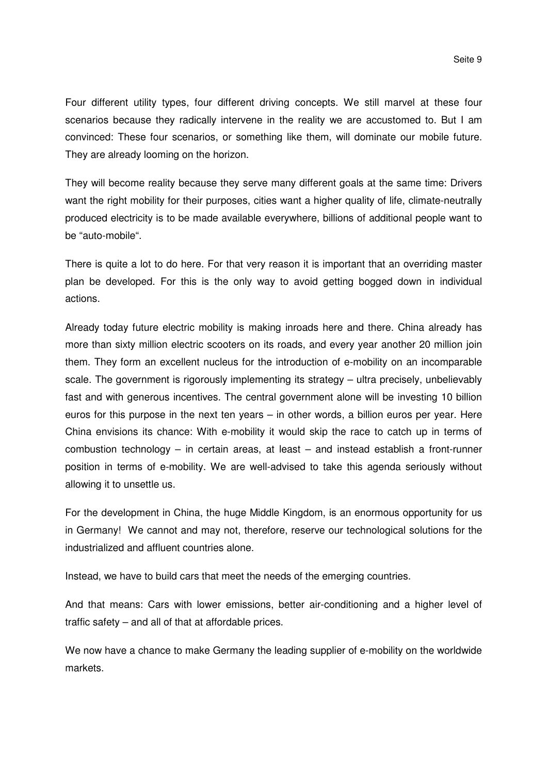Four different utility types, four different driving concepts. We still marvel at these four scenarios because they radically intervene in the reality we are accustomed to. But I am convinced: These four scenarios, or something like them, will dominate our mobile future. They are already looming on the horizon.

They will become reality because they serve many different goals at the same time: Drivers want the right mobility for their purposes, cities want a higher quality of life, climate-neutrally produced electricity is to be made available everywhere, billions of additional people want to be "auto-mobile".

There is quite a lot to do here. For that very reason it is important that an overriding master plan be developed. For this is the only way to avoid getting bogged down in individual actions.

Already today future electric mobility is making inroads here and there. China already has more than sixty million electric scooters on its roads, and every year another 20 million join them. They form an excellent nucleus for the introduction of e-mobility on an incomparable scale. The government is rigorously implementing its strategy – ultra precisely, unbelievably fast and with generous incentives. The central government alone will be investing 10 billion euros for this purpose in the next ten years – in other words, a billion euros per year. Here China envisions its chance: With e-mobility it would skip the race to catch up in terms of combustion technology – in certain areas, at least – and instead establish a front-runner position in terms of e-mobility. We are well-advised to take this agenda seriously without allowing it to unsettle us.

For the development in China, the huge Middle Kingdom, is an enormous opportunity for us in Germany! We cannot and may not, therefore, reserve our technological solutions for the industrialized and affluent countries alone.

Instead, we have to build cars that meet the needs of the emerging countries.

And that means: Cars with lower emissions, better air-conditioning and a higher level of traffic safety – and all of that at affordable prices.

We now have a chance to make Germany the leading supplier of e-mobility on the worldwide markets.